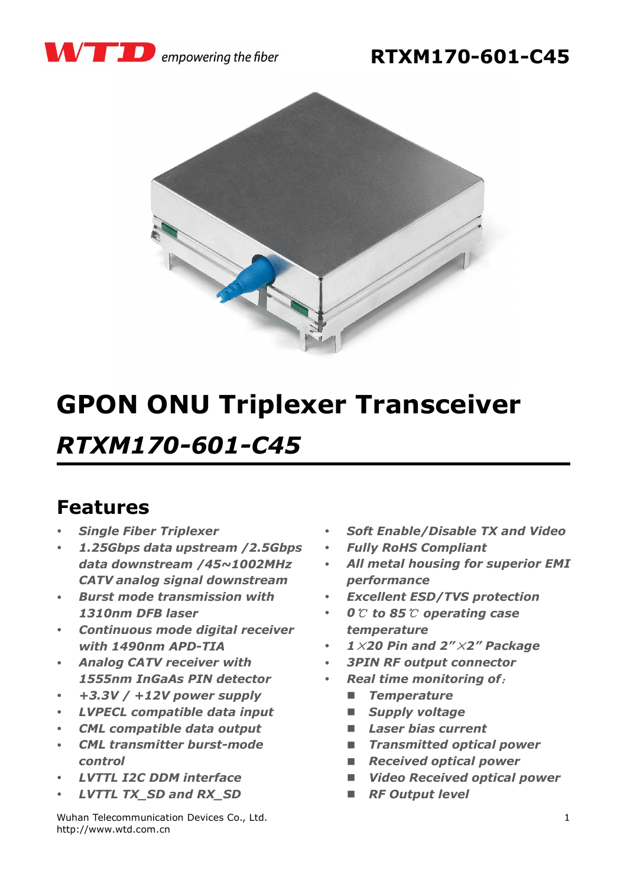





# **GPON ONU Triplexer Transceiver** *RTXM170-601-C45*

#### **Features**

- *Single Fiber Triplexer*
- *1.25Gbps data upstream /2.5Gbps data downstream /45~1002MHz CATV analog signal downstream*
- *Burst mode transmission with 1310nm DFB laser*
- *Continuous mode digital receiver with 1490nm APD-TIA*
- *Analog CATV receiver with 1555nm InGaAs PIN detector*
- *+3.3V / +12V power supply*
- *LVPECL compatible data input*
- *CML compatible data output*
- *CML transmitter burst-mode control*
- *LVTTL I2C DDM interface*
- *LVTTL TX\_SD and RX\_SD*

Wuhan Telecommunication Devices Co., Ltd. http://www.wtd.com.cn

- *Soft Enable/Disable TX and Video*
- *Fully RoHS Compliant*
- *All metal housing for superior EMI performance*
- *Excellent ESD/TVS protection*
- *0*℃ *to 85*℃ *operating case temperature*
- *1*×*20 Pin and 2"*×*2" Package*
- *3PIN RF output connector*
- *Real time monitoring of*:
	- *Temperature*
	- *Supply voltage*
	- *Laser bias current*
	- *Transmitted optical power*
	- *Received optical power*
	- *Video Received optical power*
	- *RF Output level*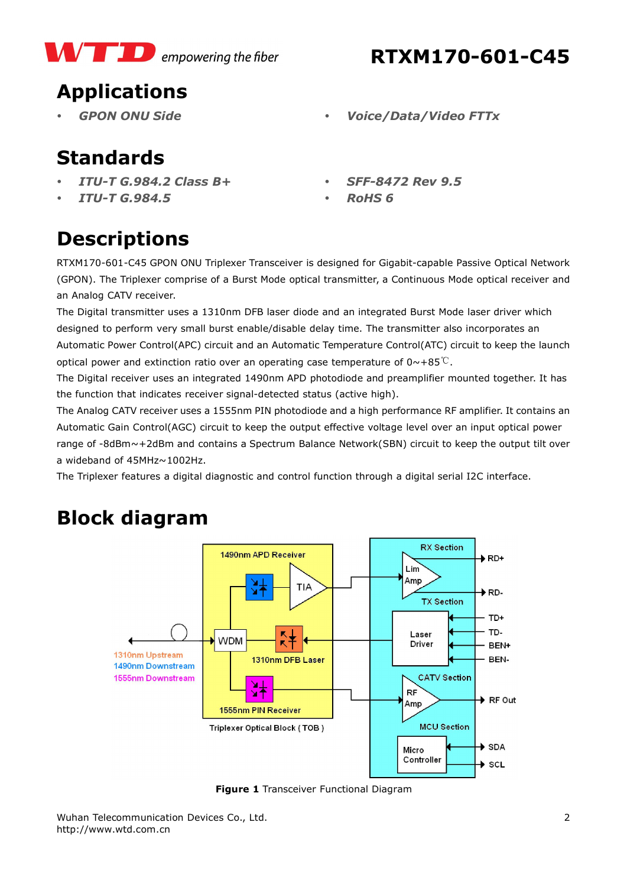

#### **RTXM170-601-C45**

# **Applications**

- 
- *GPON ONU Side Voice/Data/Video FTTx*

### **Standards**

- *ITU-T G.984.2 Class B+*
- *ITU-T G.984.5*
- *SFF-8472 Rev 9.5*
- *RoHS 6*

# **Descriptions**

RTXM170-601-C45 GPON ONU Triplexer Transceiver is designed for Gigabit-capable Passive Optical Network (GPON). The Triplexer comprise of a Burst Mode optical transmitter, a Continuous Mode optical receiver and an Analog CATV receiver.

The Digital transmitter uses a 1310nm DFB laser diode and an integrated Burst Mode laser driver which designed to perform very small burst enable/disable delay time. The transmitter also incorporates an Automatic Power Control(APC) circuit and an Automatic Temperature Control(ATC) circuit to keep the launch optical power and extinction ratio over an operating case temperature of  $0 \sim +85$ °C.

The Digital receiver uses an integrated 1490nm APD photodiode and preamplifier mounted together. It has the function that indicates receiver signal-detected status (active high).

The Analog CATV receiver uses a 1555nm PIN photodiode and a high performance RF amplifier. It contains an Automatic Gain Control(AGC) circuit to keep the output effective voltage level over an input optical power range of -8dBm~+2dBm and contains a Spectrum Balance Network(SBN) circuit to keep the output tilt over a wideband of 45MHz~1002Hz.

The Triplexer features a digital diagnostic and control function through a digital serial I2C interface.

# **Block diagram**



**Figure 1** Transceiver Functional Diagram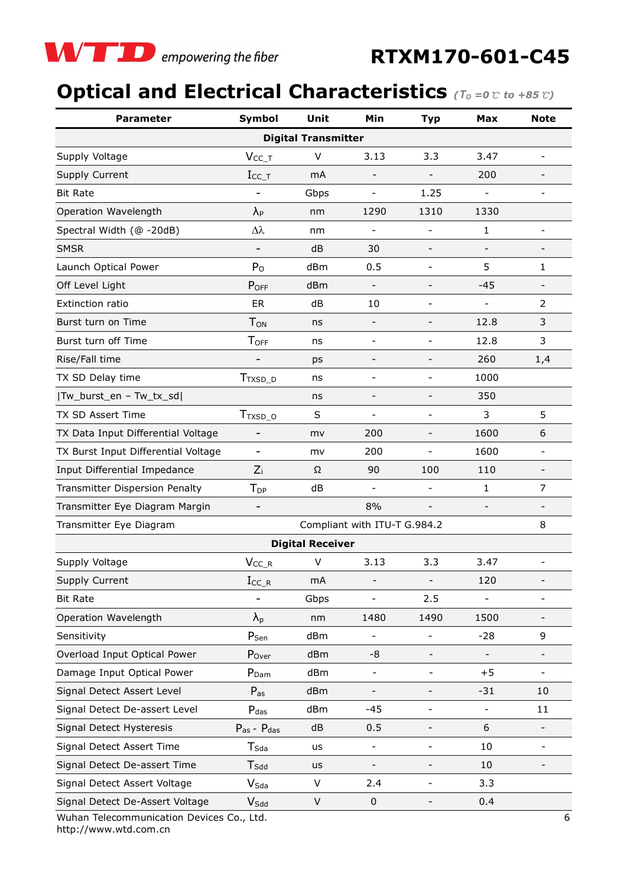

## **Optical and Electrical Characteristics** (To =0 ℃ to +85 ℃)

| <b>Parameter</b>                                        | Symbol                   | Unit                                                       | Min                      | <b>Typ</b>                   | <b>Max</b>               | <b>Note</b>              |  |  |  |  |  |
|---------------------------------------------------------|--------------------------|------------------------------------------------------------|--------------------------|------------------------------|--------------------------|--------------------------|--|--|--|--|--|
| <b>Digital Transmitter</b>                              |                          |                                                            |                          |                              |                          |                          |  |  |  |  |  |
| Supply Voltage                                          | $V_{CC\_T}$              | V                                                          | 3.13                     | 3.3                          | 3.47                     | $\qquad \qquad -$        |  |  |  |  |  |
| Supply Current                                          | $I_{\text{CC\_T}}$       | mA                                                         |                          |                              | 200                      |                          |  |  |  |  |  |
| <b>Bit Rate</b>                                         |                          | Gbps                                                       |                          | 1.25                         |                          |                          |  |  |  |  |  |
| Operation Wavelength                                    | $\lambda_{P}$            | nm                                                         | 1290                     | 1310                         | 1330                     |                          |  |  |  |  |  |
| Spectral Width (@ -20dB)                                | Δλ                       | nm                                                         |                          | $\overline{\phantom{a}}$     | $\mathbf{1}$             | $\overline{\phantom{a}}$ |  |  |  |  |  |
| <b>SMSR</b>                                             |                          | dB                                                         | 30                       | $\overline{\phantom{a}}$     | $\overline{\phantom{a}}$ | $\overline{\phantom{a}}$ |  |  |  |  |  |
| Launch Optical Power                                    | $P_{O}$                  | dBm                                                        | 0.5                      | $\qquad \qquad \blacksquare$ | 5                        | 1                        |  |  |  |  |  |
| Off Level Light                                         | POFF                     | dBm                                                        | $\qquad \qquad -$        | $\overline{\phantom{a}}$     | $-45$                    | $\overline{\phantom{a}}$ |  |  |  |  |  |
| Extinction ratio                                        | ER                       | dB                                                         | 10                       | $\overline{\phantom{a}}$     | $\overline{\phantom{0}}$ | $\overline{2}$           |  |  |  |  |  |
| Burst turn on Time                                      | T <sub>ON</sub>          | ns                                                         |                          | $\qquad \qquad -$            | 12.8                     | 3                        |  |  |  |  |  |
| Burst turn off Time                                     | <b>TOFF</b>              | ns                                                         | ٠                        | $\overline{\phantom{a}}$     | 12.8                     | 3                        |  |  |  |  |  |
| Rise/Fall time                                          |                          | ps                                                         | $\overline{a}$           | $\overline{\phantom{0}}$     | 260                      | 1,4                      |  |  |  |  |  |
| TX SD Delay time                                        | $T_{TXSD\_D}$            | ns                                                         | ٠                        | $\overline{\phantom{a}}$     | 1000                     |                          |  |  |  |  |  |
| Tw_burst_en - Tw_tx_sd                                  |                          | ns                                                         | $\overline{a}$           | $\overline{\phantom{a}}$     | 350                      |                          |  |  |  |  |  |
| TX SD Assert Time                                       | T <sub>TXSD_O</sub>      | S                                                          |                          |                              | 3                        | 5                        |  |  |  |  |  |
| TX Data Input Differential Voltage                      |                          | mv                                                         | 200                      |                              | 1600                     | 6                        |  |  |  |  |  |
| TX Burst Input Differential Voltage                     |                          | mv                                                         | 200                      |                              | 1600                     |                          |  |  |  |  |  |
| Input Differential Impedance                            | $Z_i$                    | Ω                                                          | 90                       | 100                          | 110                      | $\overline{\phantom{a}}$ |  |  |  |  |  |
| Transmitter Dispersion Penalty                          | T <sub>DP</sub>          | dB                                                         | $\overline{\phantom{0}}$ | $\qquad \qquad -$            | 1                        | $\overline{7}$           |  |  |  |  |  |
| Transmitter Eye Diagram Margin                          | $\overline{\phantom{a}}$ | 8%<br>$\overline{\phantom{a}}$<br>$\overline{\phantom{a}}$ |                          |                              |                          |                          |  |  |  |  |  |
| Compliant with ITU-T G.984.2<br>Transmitter Eye Diagram |                          |                                                            |                          |                              |                          |                          |  |  |  |  |  |
| 8<br><b>Digital Receiver</b>                            |                          |                                                            |                          |                              |                          |                          |  |  |  |  |  |
| Supply Voltage                                          | $V_{CC_R}$               | V                                                          | 3.13                     | 3.3                          | 3.47                     |                          |  |  |  |  |  |
| Supply Current                                          | $I_{CC\_R}$              | mA                                                         |                          |                              | 120                      |                          |  |  |  |  |  |
| <b>Bit Rate</b>                                         |                          | Gbps                                                       |                          | 2.5                          |                          | $\overline{\phantom{a}}$ |  |  |  |  |  |
| Operation Wavelength                                    | $\lambda_{p}$            | nm                                                         | 1480                     | 1490                         | 1500                     |                          |  |  |  |  |  |
| Sensitivity                                             | P <sub>Sen</sub>         | dBm                                                        |                          |                              | $-28$                    | 9                        |  |  |  |  |  |
| Overload Input Optical Power                            | Pover                    | dBm                                                        | -8                       |                              |                          |                          |  |  |  |  |  |
| Damage Input Optical Power                              | P <sub>Dam</sub>         | dBm                                                        | $\overline{\phantom{a}}$ | $\qquad \qquad -$            | $+5$                     | $\overline{\phantom{0}}$ |  |  |  |  |  |
| Signal Detect Assert Level                              | $P_{as}$                 | dBm                                                        |                          | $\overline{\phantom{a}}$     | $-31$                    | 10                       |  |  |  |  |  |
| Signal Detect De-assert Level                           | $P_{\text{das}}$         | dBm                                                        | $-45$                    | $\overline{\phantom{a}}$     | $\overline{\phantom{0}}$ | 11                       |  |  |  |  |  |
| Signal Detect Hysteresis                                | $P_{as}$ - $P_{das}$     | dB                                                         | 0.5                      | -                            | 6                        |                          |  |  |  |  |  |
| Signal Detect Assert Time                               | $T_{Sda}$                | us                                                         | $\overline{\phantom{0}}$ | $\overline{\phantom{a}}$     | 10                       | $\qquad \qquad -$        |  |  |  |  |  |
| Signal Detect De-assert Time                            | $T_{\mathsf{Sdd}}$       | us                                                         | -                        | -                            | 10                       |                          |  |  |  |  |  |
| Signal Detect Assert Voltage                            | $V_{Sda}$                | V                                                          | 2.4                      | $\qquad \qquad -$            | 3.3                      |                          |  |  |  |  |  |
| Signal Detect De-Assert Voltage                         | $V_{Sdd}$                | V                                                          | $\boldsymbol{0}$         |                              | 0.4                      |                          |  |  |  |  |  |
| Wuhan Telecommunication Devices Co., Ltd.<br>6          |                          |                                                            |                          |                              |                          |                          |  |  |  |  |  |

Wuhan Telecommunication Devices Co., Ltd. http://www.wtd.com.cn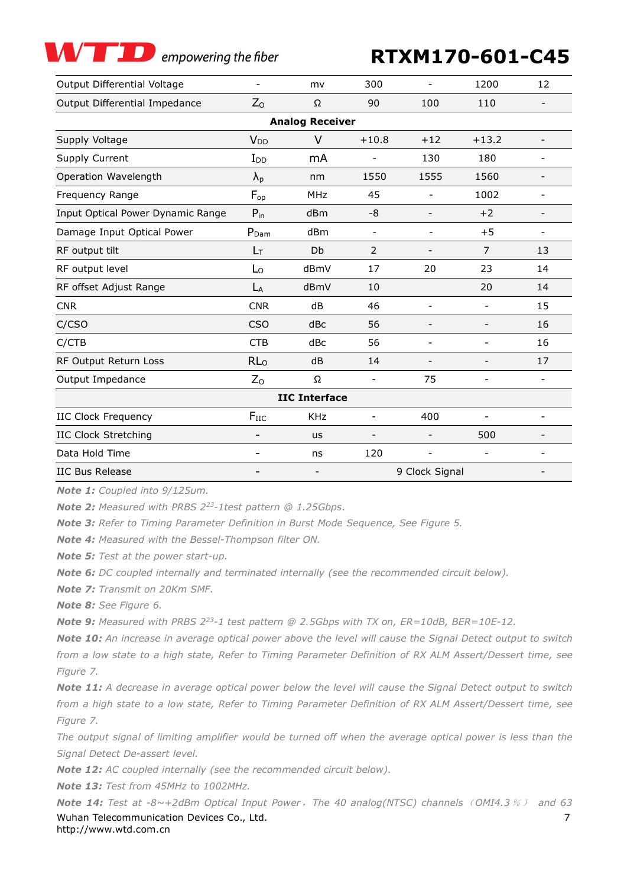empowering the fiber

#### **RTXM170-601-C45**

| Output Differential Voltage       |                        | mv           | 300                      |                          | 1200                     | 12                       |  |  |  |  |
|-----------------------------------|------------------------|--------------|--------------------------|--------------------------|--------------------------|--------------------------|--|--|--|--|
| Output Differential Impedance     | $Z_{O}$                | Ω            | 90                       | 100                      | 110                      | $\overline{\phantom{0}}$ |  |  |  |  |
| <b>Analog Receiver</b>            |                        |              |                          |                          |                          |                          |  |  |  |  |
| Supply Voltage                    | <b>V</b> <sub>DD</sub> | $+10.8$<br>V |                          | $+12$                    | $+13.2$                  | $\overline{a}$           |  |  |  |  |
| Supply Current                    | $I_{DD}$               | mA           |                          | 130                      | 180                      |                          |  |  |  |  |
| Operation Wavelength              | $\lambda_{p}$          | nm           | 1550                     | 1555                     | 1560                     |                          |  |  |  |  |
| Frequency Range                   | $F_{op}$               | <b>MHz</b>   | 45                       | $\overline{\phantom{a}}$ | 1002                     | $\overline{\phantom{a}}$ |  |  |  |  |
| Input Optical Power Dynamic Range | $P_{in}$               | dBm          | -8                       |                          | $+2$                     | $\overline{\phantom{0}}$ |  |  |  |  |
| Damage Input Optical Power        | $P_{\text{Dam}}$       | dBm          | $\overline{\phantom{a}}$ |                          | $+5$                     |                          |  |  |  |  |
| RF output tilt                    | $L_T$                  | Db           | 2                        | $\overline{\phantom{a}}$ | 7                        | 13                       |  |  |  |  |
| RF output level                   | Lo                     | dBmV         | 17                       | 20                       | 23                       | 14                       |  |  |  |  |
| RF offset Adjust Range            | $L_A$                  | dBmV         | 10                       |                          | 20                       | 14                       |  |  |  |  |
| <b>CNR</b>                        | <b>CNR</b>             | dB           | 46                       | $\qquad \qquad -$        | $\overline{\phantom{a}}$ | 15                       |  |  |  |  |
| C/CSO                             | <b>CSO</b>             | dBc          | 56                       | $\qquad \qquad -$        | $\overline{\phantom{0}}$ | 16                       |  |  |  |  |
| C/CTB                             | <b>CTB</b>             | dBc          | 56                       | $\overline{\phantom{a}}$ |                          | 16                       |  |  |  |  |
| RF Output Return Loss             | RL <sub>o</sub>        | dB           | 14                       |                          |                          | 17                       |  |  |  |  |
| Output Impedance                  | Z <sub>O</sub>         | Ω            | $\overline{\phantom{a}}$ | 75                       | $\qquad \qquad -$        | $\overline{\phantom{a}}$ |  |  |  |  |
| <b>IIC Interface</b>              |                        |              |                          |                          |                          |                          |  |  |  |  |
| <b>IIC Clock Frequency</b>        | $F_{\text{IIC}}$       | <b>KHz</b>   | $\overline{a}$           | 400                      |                          | $\overline{a}$           |  |  |  |  |
| <b>IIC Clock Stretching</b>       |                        | us           |                          |                          | 500                      |                          |  |  |  |  |
| Data Hold Time                    |                        | ns           | 120                      | $\qquad \qquad -$        | $\overline{\phantom{a}}$ | $\overline{\phantom{0}}$ |  |  |  |  |
| <b>IIC Bus Release</b>            | -                      |              | 9 Clock Signal           |                          |                          |                          |  |  |  |  |

*Note 1: Coupled into 9/125um.*

*Note 2: Measured with PRBS 223-1test pattern @ 1.25Gbps.*

*Note 3: Refer to Timing Parameter Definition in Burst Mode Sequence, See Figure 5.*

*Note 4: Measured with the Bessel-Thompson filter ON.*

*Note 5: Test at the power start-up.*

*Note 6: DC coupled internally and terminated internally (see the recommended circuit below).*

*Note 7: Transmit on 20Km SMF.*

*Note 8: See Figure 6.*

*Note 9: Measured with PRBS 223-1 test pattern @ 2.5Gbps with TX on, ER=10dB, BER=10E-12.*

*Note 10: An increase in average optical power above the level will cause the Signal Detect output to switch from a low state to a high state, Refer to Timing Parameter Definition of RX ALM Assert/Dessert time, see Figure 7.*

*Note 11: A decrease in average optical power below the level will cause the Signal Detect output to switch from a high state to a low state, Refer to Timing Parameter Definition of RX ALM Assert/Dessert time, see Figure 7.*

*The output signal of limiting amplifier would be turned off when the average optical power is less than the Signal Detect De-assert level.*

*Note 12: AC coupled internally (see the recommended circuit below).*

*Note 13: Test from 45MHz to 1002MHz.*

Wuhan Telecommunication Devices Co., Ltd. http://www.wtd.com.cn 7 *Note 14: Test at -8~+2dBm Optical Input Power*,*The 40 analog(NTSC) channels*(*OMI4.3*%) *and 63*